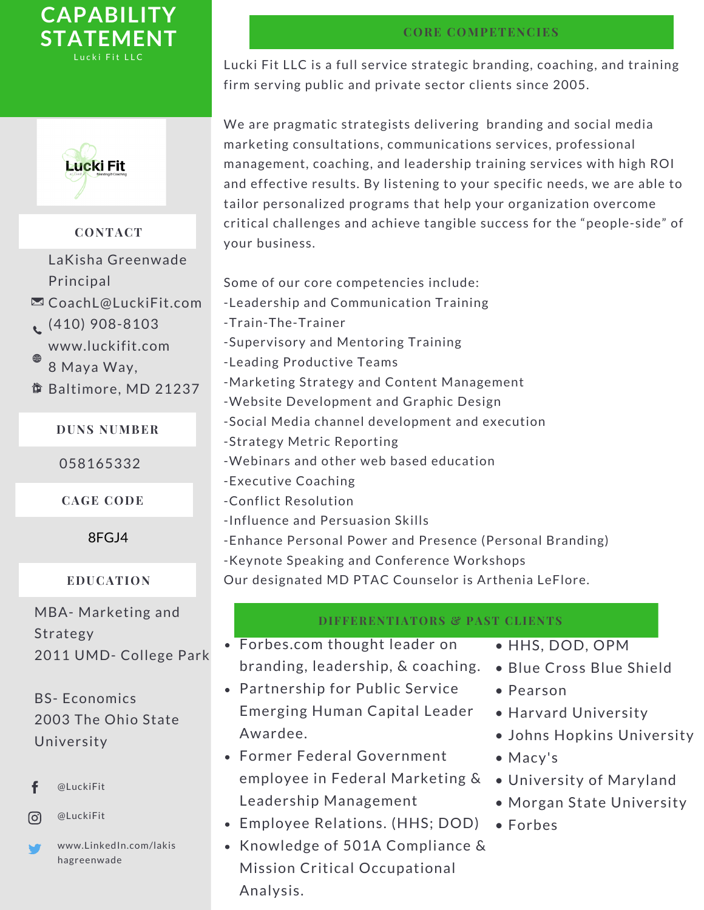



# **CONTACT**

- LaKisha Greenwade **Principal**
- **ECoachL**@LuckiFit.com
- $(410)$  908-8103 www.luckifit.com 8 Maya Way,
- Baltimore, MD 21237

### **DUNS NUMBER**

058165332

**CAGE CODE**

8FGJ4

### **EDUCATION**

MBA- Marketing and Strategy 2011 UMD- College Park

BS- Economics 2003 The Ohio State University

- @LuckiFit f
- @LuckiFit രി
- www.LinkedIn.com/lakis hagreenwade

## **CORE COMPETENCIES**

Lucki Fit LLC is a full service strategic branding, coaching, and training firm serving public and private sector clients since 2005.

We are pragmatic strategists delivering branding and social media marketing consultations, communications services, professional management, coaching, and leadership training services with high ROI and effective results. By listening to your specific needs, we are able to tailor personalized programs that help your organization overcome critical challenges and achieve tangible success for the "people-side" of your business.

- Some of our core competencies include:
- -Leadership and Communication Training
- -Train-The-Trainer
- -Supervisory and Mentoring Training
- -Leading Productive Teams
- -Marketing Strategy and Content Management
- -Website Development and Graphic Design
- -Social Media channel development and execution
- -Strategy Metric Reporting
- -Webinars and other web based education
- -Executive Coaching
- -Conflict Resolution
- -Influence and Persuasion Skills
- -Enhance Personal Power and Presence (Personal Branding)
- -Keynote Speaking and Conference Workshops

Our designated MD PTAC Counselor is Arthenia LeFlore.

# **DIFFERENTIATORS & PAST CLIENTS**

- Forbes.com thought leader on branding, leadership, & coaching.
- Partnership for Public Service Emerging Human Capital Leader Awardee.
- Former Federal Government employee in Federal Marketing & Leadership Management
- Employee Relations. (HHS; DOD)
- Knowledge of 501A Compliance & Mission Critical Occupational Analysis.
- HHS, DOD, OPM
- Blue Cross Blue Shield
- Pearson
- Harvard University
- Johns Hopkins University
- Macy's
- University of Maryland
- Morgan State University
- Forbes